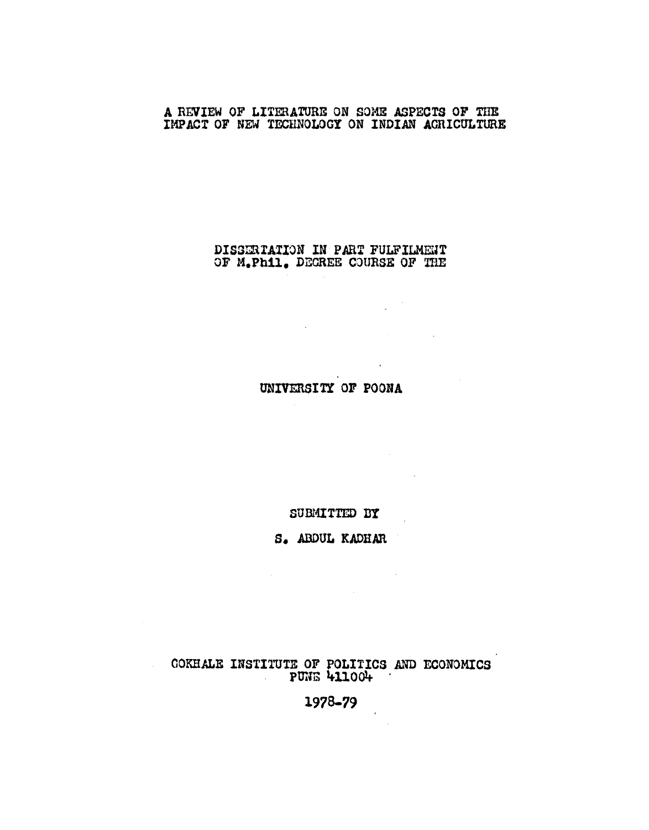## A REVIEW OF LITERATURE ON SOME ASPECTS OF THE IMPACT OF NEW TECHNOLOGY ON INDIAN ACRICULTURE

## DISSERTATION IN PART FULFILMENT OF M.Phil. DECREE COURSE OF THE

 $\mathcal{L}^{\text{max}}_{\text{max}}$  and  $\mathcal{L}^{\text{max}}_{\text{max}}$ 

 $\label{eq:2} \frac{1}{2} \left( \frac{1}{2} \sum_{i=1}^n \frac{1}{2} \sum_{j=1}^n \frac{1}{2} \sum_{j=1}^n \frac{1}{2} \sum_{j=1}^n \frac{1}{2} \sum_{j=1}^n \frac{1}{2} \sum_{j=1}^n \frac{1}{2} \sum_{j=1}^n \frac{1}{2} \sum_{j=1}^n \frac{1}{2} \sum_{j=1}^n \frac{1}{2} \sum_{j=1}^n \frac{1}{2} \sum_{j=1}^n \frac{1}{2} \sum_{j=1}^n \frac{1}{2} \sum_{j$ 

 $\mathcal{L}^{\text{max}}_{\text{max}}$  ,  $\mathcal{L}^{\text{max}}_{\text{max}}$ 

 $\label{eq:2.1} \frac{1}{\sqrt{2}}\int_{\mathbb{R}^3}\frac{1}{\sqrt{2}}\left(\frac{1}{\sqrt{2}}\right)^2\left(\frac{1}{\sqrt{2}}\right)^2\left(\frac{1}{\sqrt{2}}\right)^2\left(\frac{1}{\sqrt{2}}\right)^2\left(\frac{1}{\sqrt{2}}\right)^2.$ 

 $\label{eq:2.1} \frac{1}{\sqrt{2}}\left(\frac{1}{\sqrt{2}}\right)^{2} \left(\frac{1}{\sqrt{2}}\right)^{2} \left(\frac{1}{\sqrt{2}}\right)^{2} \left(\frac{1}{\sqrt{2}}\right)^{2} \left(\frac{1}{\sqrt{2}}\right)^{2} \left(\frac{1}{\sqrt{2}}\right)^{2} \left(\frac{1}{\sqrt{2}}\right)^{2} \left(\frac{1}{\sqrt{2}}\right)^{2} \left(\frac{1}{\sqrt{2}}\right)^{2} \left(\frac{1}{\sqrt{2}}\right)^{2} \left(\frac{1}{\sqrt{2}}\right)^{2} \left(\$ 

 $\frac{1}{2} \sum_{i=1}^n \frac{1}{2} \sum_{j=1}^n \frac{1}{2} \sum_{j=1}^n \frac{1}{2} \sum_{j=1}^n \frac{1}{2} \sum_{j=1}^n \frac{1}{2} \sum_{j=1}^n \frac{1}{2} \sum_{j=1}^n \frac{1}{2} \sum_{j=1}^n \frac{1}{2} \sum_{j=1}^n \frac{1}{2} \sum_{j=1}^n \frac{1}{2} \sum_{j=1}^n \frac{1}{2} \sum_{j=1}^n \frac{1}{2} \sum_{j=1}^n \frac{1}{2} \sum_{j=$ 

 $\label{eq:2.1} \frac{1}{\sqrt{2\pi}}\int_{\mathbb{R}^3}\frac{1}{\sqrt{2\pi}}\int_{\mathbb{R}^3}\frac{1}{\sqrt{2\pi}}\int_{\mathbb{R}^3}\frac{1}{\sqrt{2\pi}}\int_{\mathbb{R}^3}\frac{1}{\sqrt{2\pi}}\int_{\mathbb{R}^3}\frac{1}{\sqrt{2\pi}}\int_{\mathbb{R}^3}\frac{1}{\sqrt{2\pi}}\int_{\mathbb{R}^3}\frac{1}{\sqrt{2\pi}}\int_{\mathbb{R}^3}\frac{1}{\sqrt{2\pi}}\int_{\mathbb{R}^3}\frac{1$ 

UNIVERSITY OF POONA

SUBMITTED BY

S. ABDUL KADHAR

 $\mathcal{A}^{\text{max}}_{\text{max}}$ 

COKHALE INSTITUTE OF POLITICS AND ECONOMICS<br>PUNE 411004

 $1978 - 79$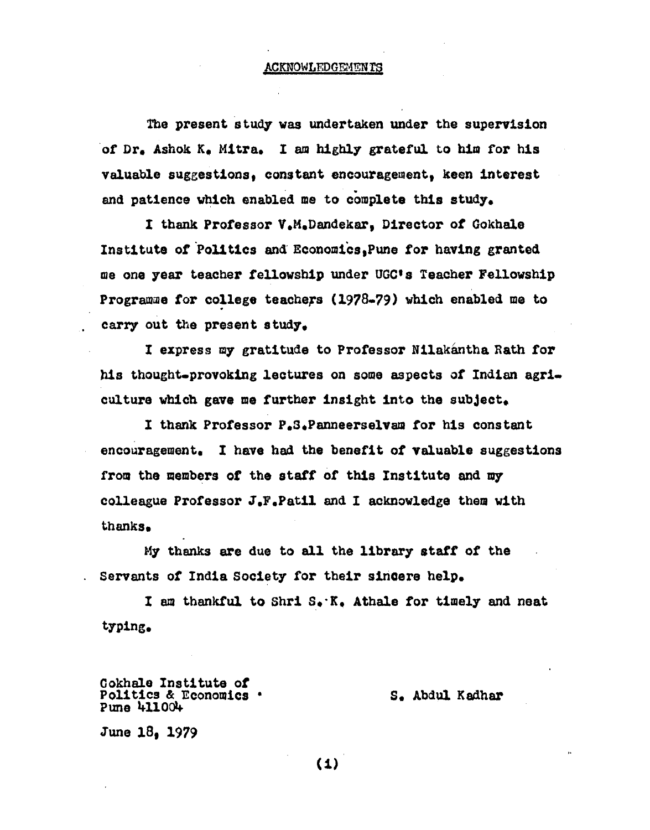#### **ACKNOWLEDGEMENTS**

The present study was undertaken under the supervision *ot* Dr. Ashok Ke Mitra. I am b1gbl7 grateful to him for his valuable suggestions, constant encouragement, keen interest and patience which enabled me to complete this study.

I thank Professor V.M.Dandekar, Director *ot* Gokhale Institute of Politics and Economics 1Pune tor having granted me one year teacher fellowship under UGC•s Teacher Fellowship Programme for college teachers (1978-79) which enabled me to carry out the present study.

I express m7 gratitude to Professor Nilakantha Rath for his thought-provoking lectures on some aspects *at* Indian agriculture which gave me further insight into the subject.

I thank Professor P.s.Panneerselvam tor his constant encouragement. I have bad the benefit *ot* valuable suggestions from the members of the staff of this Institute and my colleague Professor J.F.Pat11 and I acknowledge them with thanks.

My thanks are due to all the library staff or the Servants of India Society for their sincere help.

I am thankful to Shri S. K. Athale for timely and neat typing.

Ookhale Institute *ot*  Politics & Economics • Pune 411004

### s. Abdul Kedher

June 18. 1979

(i)